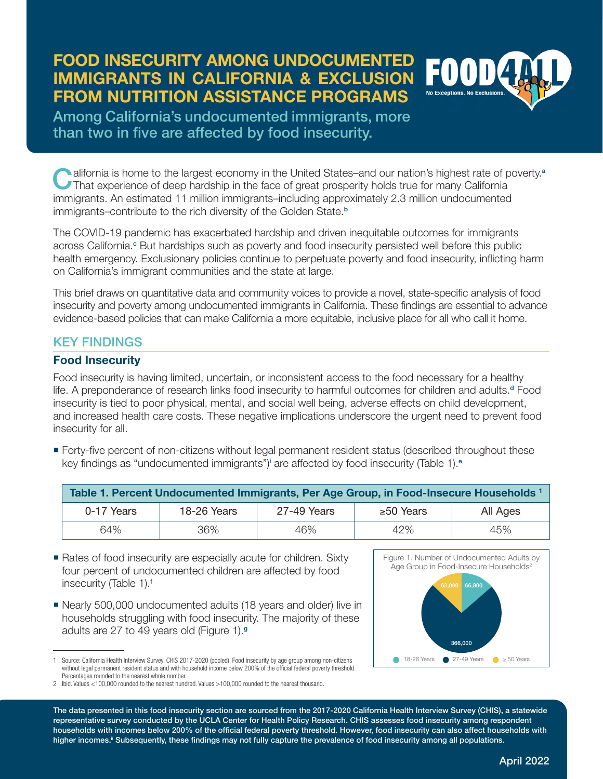#### **FOOD INSECURITY AMONG UNDOCUMENTED**  EOOD **IMMIGRANTS IN CALIFORNIA & EXCLUSION FROM NUTRITION ASSISTANCE PROGRAMS**

Among California's undocumented immigrants, more than two in five are affected by food insecurity.

Lalifornia is home to the largest economy in the United States–and our nation's highest rate of poverty.<sup>a</sup> That experience of deep hardship in the face of great prosperity holds true for many California immigrants. An estimated 11 million immigrants–including approximately 2.3 million undocumented immigrants–contribute to the rich diversity of the Golden State.<sup>b</sup>

The COVID-19 pandemic has exacerbated hardship and driven inequitable outcomes for immigrants across California.<sup>c</sup> But hardships such as poverty and food insecurity persisted well before this public health emergency. Exclusionary policies continue to perpetuate poverty and food insecurity, inflicting harm on California's immigrant communities and the state at large.

This brief draws on quantitative data and community voices to provide a novel, state-specific analysis of food insecurity and poverty among undocumented immigrants in California. These findings are essential to advance evidence-based policies that can make California a more equitable, inclusive place for all who call it home.

## KEY FINDINGS

#### **Food Insecurity**

Food insecurity is having limited, uncertain, or inconsistent access to the food necessary for a healthy life. A preponderance of research links food insecurity to harmful outcomes for children and adults.<sup>d</sup> Food insecurity is tied to poor physical, mental, and social well being, adverse effects on child development, and increased health care costs. These negative implications underscore the urgent need to prevent food insecurity for all.

 Forty-five percent of non-citizens without legal permanent resident status (described throughout these key findings as "undocumented immigrants")<sup>i</sup> are affected by food insecurity (Table 1).<sup>e</sup>

| Table 1. Percent Undocumented Immigrants, Per Age Group, in Food-Insecure Households 1 |                    |             |                 |          |
|----------------------------------------------------------------------------------------|--------------------|-------------|-----------------|----------|
| 0-17 Years                                                                             | <b>18-26 Years</b> | 27-49 Years | $\geq 50$ Years | All Ages |
| 64%                                                                                    | 36%                | 46%         | 42%             | 45%      |

- Rates of food insecurity are especially acute for children. Sixty four percent of undocumented children are affected by food insecurity (Table 1).<sup>f</sup>
- Nearly 500,000 undocumented adults (18 years and older) live in households struggling with food insecurity. The majority of these adults are 27 to 49 years old (Figure 1).<sup>g</sup>



<sup>1</sup> Source: California Health Interview Survey. CHIS 2017-2020 (pooled). Food insecurity by age group among non-citizens without legal permanent resident status and with household income below 200% of the official federal poverty threshold. Percentages rounded to the nearest whole number.

The data presented in this food insecurity section are sourced from the 2017-2020 California Health Interview Survey (CHIS), a statewide representative survey conducted by the UCLA Center for Health Policy Research. CHIS assesses food insecurity among respondent households with incomes below 200% of the official federal poverty threshold. However, food insecurity can also affect households with higher incomes.<sup>ii</sup> Subsequently, these findings may not fully capture the prevalence of food insecurity among all populations.

<sup>2</sup> Ibid. Values <100,000 rounded to the nearest hundred. Values >100,000 rounded to the nearest thousand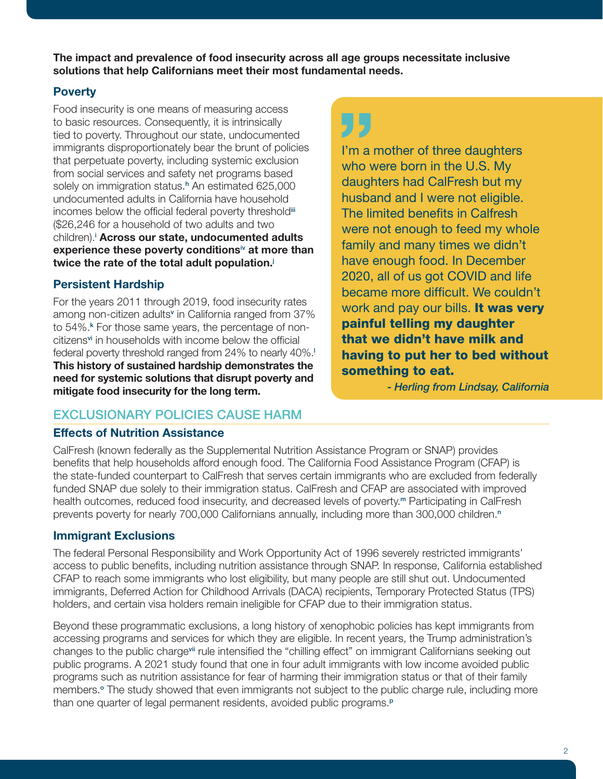**The impact and prevalence of food insecurity across all age groups necessitate inclusive solutions that help Californians meet their most fundamental needs.** 

## **Poverty**

Food insecurity is one means of measuring access to basic resources. Consequently, it is intrinsically tied to poverty. Throughout our state, undocumented immigrants disproportionately bear the brunt of policies that perpetuate poverty, including systemic exclusion from social services and safety net programs based solely on immigration status.<sup>h</sup> An estimated 625,000 undocumented adults in California have household incomes below the official federal poverty thresholdiii (\$26,246 for a household of two adults and two children).<sup>i</sup> Across our state, undocumented adults **experience these poverty conditions**iv **at more than twice the rate of the total adult population.**<sup>j</sup>

## **Persistent Hardship**

For the years 2011 through 2019, food insecurity rates among non-citizen adults<sup>v</sup> in California ranged from 37% to 54%.<sup>k</sup> For those same years, the percentage of noncitizensvi in households with income below the official federal poverty threshold ranged from 24% to nearly 40%.<sup>1</sup> **This history of sustained hardship demonstrates the need for systemic solutions that disrupt poverty and mitigate food insecurity for the long term.**

# EXCLUSIONARY POLICIES CAUSE HARM

#### **Effects of Nutrition Assistance**

# ŋŗ

I'm a mother of three daughters who were born in the U.S. My daughters had CalFresh but my husband and I were not eligible. The limited benefits in Calfresh were not enough to feed my whole family and many times we didn't have enough food. In December 2020, all of us got COVID and life became more difficult. We couldn't work and pay our bills. It was very painful telling my daughter that we didn't have milk and having to put her to bed without something to eat.

*- Herling from Lindsay, California*

CalFresh (known federally as the Supplemental Nutrition Assistance Program or SNAP) provides benefits that help households afford enough food. The California Food Assistance Program (CFAP) is the state-funded counterpart to CalFresh that serves certain immigrants who are excluded from federally funded SNAP due solely to their immigration status. CalFresh and CFAP are associated with improved health outcomes, reduced food insecurity, and decreased levels of poverty.<sup>m</sup> Participating in CalFresh prevents poverty for nearly 700,000 Californians annually, including more than 300,000 children.<sup>n</sup>

## **Immigrant Exclusions**

The federal Personal Responsibility and Work Opportunity Act of 1996 severely restricted immigrants' access to public benefits, including nutrition assistance through SNAP. In response, California established CFAP to reach some immigrants who lost eligibility, but many people are still shut out. Undocumented immigrants, Deferred Action for Childhood Arrivals (DACA) recipients, Temporary Protected Status (TPS) holders, and certain visa holders remain ineligible for CFAP due to their immigration status.

Beyond these programmatic exclusions, a long history of xenophobic policies has kept immigrants from accessing programs and services for which they are eligible. In recent years, the Trump administration's changes to the public chargevii rule intensified the "chilling effect" on immigrant Californians seeking out public programs. A 2021 study found that one in four adult immigrants with low income avoided public programs such as nutrition assistance for fear of harming their immigration status or that of their family members.<sup>o</sup> The study showed that even immigrants not subject to the public charge rule, including more than one quarter of legal permanent residents, avoided public programs.<sup>P</sup>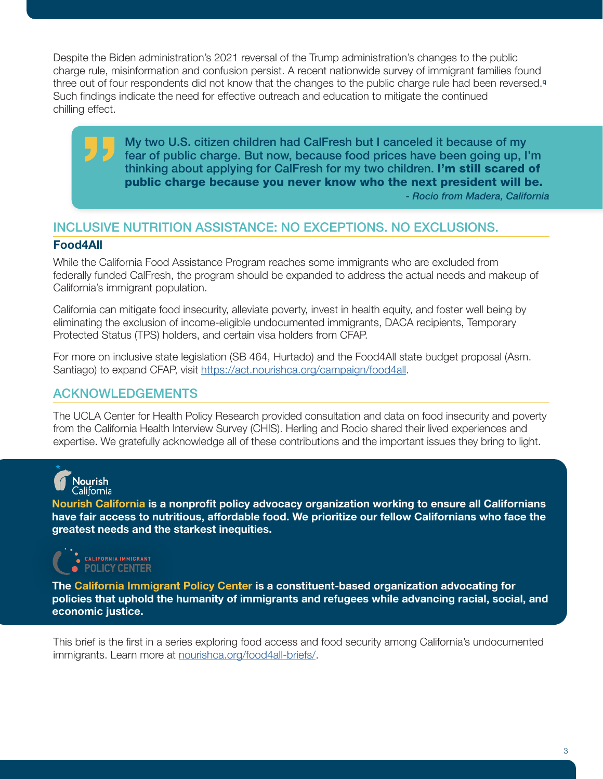Despite the Biden administration's 2021 reversal of the Trump administration's changes to the public charge rule, misinformation and confusion persist. A recent nationwide survey of immigrant families found three out of four respondents did not know that the changes to the public charge rule had been reversed.<sup>q</sup> Such findings indicate the need for effective outreach and education to mitigate the continued chilling effect.

> My two U.S. citizen children had CalFresh but I canceled it because of my fear of public charge. But now, because food prices have been going up, I'm thinking about applying for CalFresh for my two children. I'm still scared of public charge because you never know who the next president will be.

*- Rocio from Madera, California*

# INCLUSIVE NUTRITION ASSISTANCE: NO EXCEPTIONS. NO EXCLUSIONS.

### **Food4All**

While the California Food Assistance Program reaches some immigrants who are excluded from federally funded CalFresh, the program should be expanded to address the actual needs and makeup of California's immigrant population.

California can mitigate food insecurity, alleviate poverty, invest in health equity, and foster well being by eliminating the exclusion of income-eligible undocumented immigrants, DACA recipients, Temporary Protected Status (TPS) holders, and certain visa holders from CFAP.

For more on inclusive state legislation (SB 464, Hurtado) and the Food4All state budget proposal (Asm. Santiago) to expand CFAP, visit [https://act.nourishca.org/campaign/food4all.](https://act.nourishca.org/campaign/food4all)

# ACKNOWLEDGEMENTS

The UCLA Center for Health Policy Research provided consultation and data on food insecurity and poverty from the California Health Interview Survey (CHIS). Herling and Rocio shared their lived experiences and expertise. We gratefully acknowledge all of these contributions and the important issues they bring to light.



**Nourish California is a nonprofit policy advocacy organization working to ensure all Californians have fair access to nutritious, affordable food. We prioritize our fellow Californians who face the greatest needs and the starkest inequities.** 



**The California Immigrant Policy Center is a constituent-based organization advocating for policies that uphold the humanity of immigrants and refugees while advancing racial, social, and economic justice.**

This brief is the first in a series exploring food access and food security among California's undocumented immigrants. Learn more at [nourishca.org/food4all-briefs/.](http://nourishca.org/food4all-briefs/)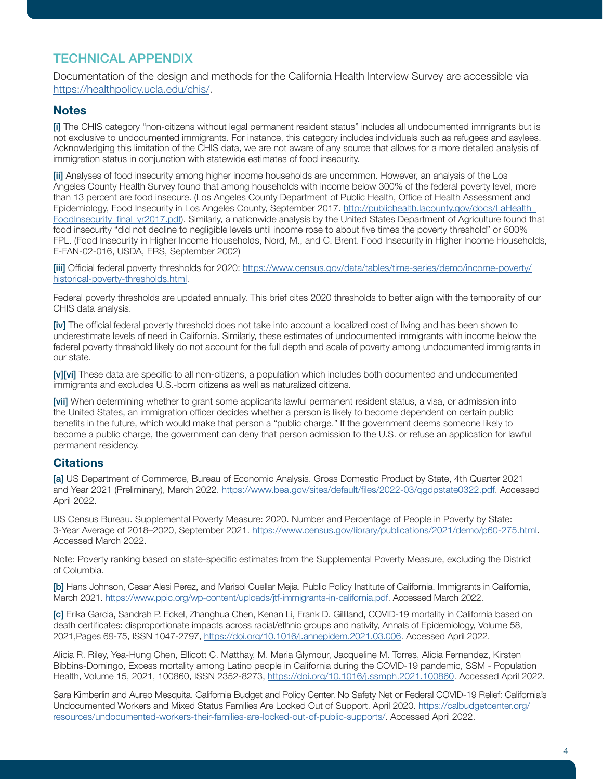# TECHNICAL APPENDIX

Documentation of the design and methods for the California Health Interview Survey are accessible via [https://healthpolicy.ucla.edu/chis/.](https://healthpolicy.ucla.edu/chis/)

#### **Notes**

[i] The CHIS category "non-citizens without legal permanent resident status" includes all undocumented immigrants but is not exclusive to undocumented immigrants. For instance, this category includes individuals such as refugees and asylees. Acknowledging this limitation of the CHIS data, we are not aware of any source that allows for a more detailed analysis of immigration status in conjunction with statewide estimates of food insecurity.

[ii] Analyses of food insecurity among higher income households are uncommon. However, an analysis of the Los Angeles County Health Survey found that among households with income below 300% of the federal poverty level, more than 13 percent are food insecure. (Los Angeles County Department of Public Health, Office of Health Assessment and Epidemiology, Food Insecurity in Los Angeles County, September 2017. [http://publichealth.lacounty.gov/docs/LaHealth\\_](http://publichealth.lacounty.gov/docs/LaHealth_FoodInsecurity_final_yr2017.pdf) [FoodInsecurity\\_final\\_yr2017.pdf\)](http://publichealth.lacounty.gov/docs/LaHealth_FoodInsecurity_final_yr2017.pdf). Similarly, a nationwide analysis by the United States Department of Agriculture found that food insecurity "did not decline to negligible levels until income rose to about five times the poverty threshold" or 500% FPL. (Food Insecurity in Higher Income Households, Nord, M., and C. Brent. Food Insecurity in Higher Income Households, E-FAN-02-016, USDA, ERS, September 2002)

[iii] Official federal poverty thresholds for 2020: [https://www.census.gov/data/tables/time-series/demo/income-poverty/](https://www.census.gov/data/tables/time-series/demo/income-poverty/historical-poverty-thresholds.htm) [historical-poverty-thresholds.html.](https://www.census.gov/data/tables/time-series/demo/income-poverty/historical-poverty-thresholds.htm)

Federal poverty thresholds are updated annually. This brief cites 2020 thresholds to better align with the temporality of our CHIS data analysis.

[iv] The official federal poverty threshold does not take into account a localized cost of living and has been shown to underestimate levels of need in California. Similarly, these estimates of undocumented immigrants with income below the federal poverty threshold likely do not account for the full depth and scale of poverty among undocumented immigrants in our state.

[v][vi] These data are specific to all non-citizens, a population which includes both documented and undocumented immigrants and excludes U.S.-born citizens as well as naturalized citizens.

[vii] When determining whether to grant some applicants lawful permanent resident status, a visa, or admission into the United States, an immigration officer decides whether a person is likely to become dependent on certain public benefits in the future, which would make that person a "public charge." If the government deems someone likely to become a public charge, the government can deny that person admission to the U.S. or refuse an application for lawful permanent residency.

#### **Citations**

[a] US Department of Commerce, Bureau of Economic Analysis. Gross Domestic Product by State, 4th Quarter 2021 and Year 2021 (Preliminary), March 2022. https://www.bea.gov/sites/default/files/2022-03/qqdpstate0322.pdf. Accessed April 2022.

US Census Bureau. Supplemental Poverty Measure: 2020. Number and Percentage of People in Poverty by State: 3-Year Average of 2018–2020, September 2021.<https://www.census.gov/library/publications/2021/demo/p60-275.html>. Accessed March 2022.

Note: Poverty ranking based on state-specific estimates from the Supplemental Poverty Measure, excluding the District of Columbia.

[b] Hans Johnson, Cesar Alesi Perez, and Marisol Cuellar Mejia. Public Policy Institute of California. Immigrants in California, March 2021.<https://www.ppic.org/wp-content/uploads/jtf-immigrants-in-california.pdf>. Accessed March 2022.

[c] Erika Garcia, Sandrah P. Eckel, Zhanghua Chen, Kenan Li, Frank D. Gilliland, COVID-19 mortality in California based on death certificates: disproportionate impacts across racial/ethnic groups and nativity, Annals of Epidemiology, Volume 58, 2021,Pages 69-75, ISSN 1047-2797,<https://doi.org/10.1016/j.annepidem.2021.03.006>. Accessed April 2022.

Alicia R. Riley, Yea-Hung Chen, Ellicott C. Matthay, M. Maria Glymour, Jacqueline M. Torres, Alicia Fernandez, Kirsten Bibbins-Domingo, Excess mortality among Latino people in California during the COVID-19 pandemic, SSM - Population Health, Volume 15, 2021, 100860, ISSN 2352-8273, <https://doi.org/10.1016/j.ssmph.2021.100860>. Accessed April 2022.

Sara Kimberlin and Aureo Mesquita. California Budget and Policy Center. No Safety Net or Federal COVID-19 Relief: California's Undocumented Workers and Mixed Status Families Are Locked Out of Support. April 2020. [https://calbudgetcenter.org/](https://calbudgetcenter.org/resources/undocumented-workers-their-families-are-locked-out-of-public-s) [resources/undocumented-workers-their-families-are-locked-out-of-public-supports/](https://calbudgetcenter.org/resources/undocumented-workers-their-families-are-locked-out-of-public-s). Accessed April 2022.